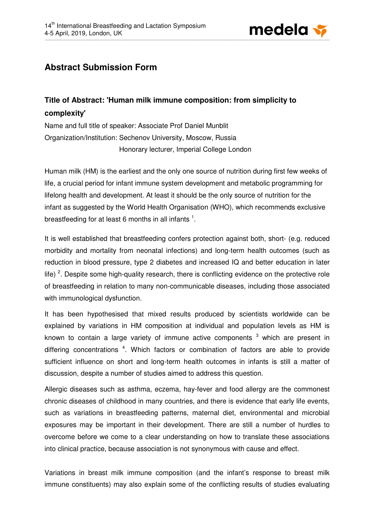

## **Abstract Submission Form**

## **Title of Abstract: 'Human milk immune composition: from simplicity to complexity'**

Name and full title of speaker: Associate Prof Daniel Munblit Organization/Institution: Sechenov University, Moscow, Russia Honorary lecturer, Imperial College London

Human milk (HM) is the earliest and the only one source of nutrition during first few weeks of life, a crucial period for infant immune system development and metabolic programming for lifelong health and development. At least it should be the only source of nutrition for the infant as suggested by the World Health Organisation (WHO), which recommends exclusive breastfeeding for at least 6 months in all infants  $^1$ .

It is well established that breastfeeding confers protection against both, short- (e.g. reduced morbidity and mortality from neonatal infections) and long-term health outcomes (such as reduction in blood pressure, type 2 diabetes and increased IQ and better education in later life)<sup>2</sup>. Despite some high-quality research, there is conflicting evidence on the protective role of breastfeeding in relation to many non-communicable diseases, including those associated with immunological dysfunction.

It has been hypothesised that mixed results produced by scientists worldwide can be explained by variations in HM composition at individual and population levels as HM is known to contain a large variety of immune active components  $3$  which are present in differing concentrations <sup>4</sup>. Which factors or combination of factors are able to provide sufficient influence on short and long-term health outcomes in infants is still a matter of discussion, despite a number of studies aimed to address this question.

Allergic diseases such as asthma, eczema, hay-fever and food allergy are the commonest chronic diseases of childhood in many countries, and there is evidence that early life events, such as variations in breastfeeding patterns, maternal diet, environmental and microbial exposures may be important in their development. There are still a number of hurdles to overcome before we come to a clear understanding on how to translate these associations into clinical practice, because association is not synonymous with cause and effect.

Variations in breast milk immune composition (and the infant's response to breast milk immune constituents) may also explain some of the conflicting results of studies evaluating